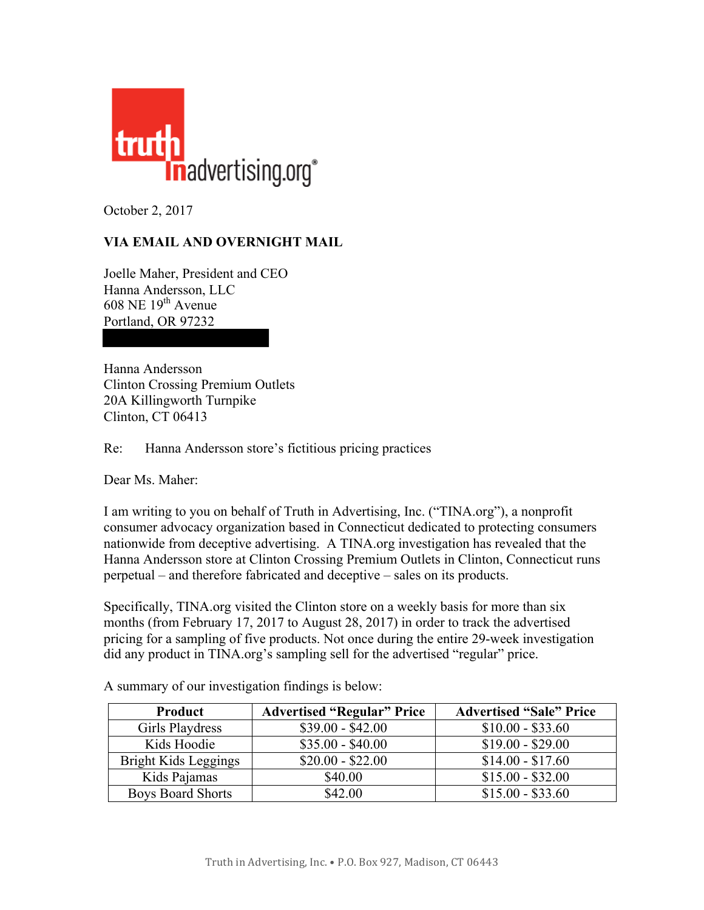

October 2, 2017

## **VIA EMAIL AND OVERNIGHT MAIL**

Joelle Maher, President and CEO Hanna Andersson, LLC  $608$  NE  $19<sup>th</sup>$  Avenue Portland, OR 97232

Hanna Andersson Clinton Crossing Premium Outlets 20A Killingworth Turnpike Clinton, CT 06413

Re: Hanna Andersson store's fictitious pricing practices

Dear Ms. Maher:

I am writing to you on behalf of Truth in Advertising, Inc. ("TINA.org"), a nonprofit consumer advocacy organization based in Connecticut dedicated to protecting consumers nationwide from deceptive advertising. A TINA.org investigation has revealed that the Hanna Andersson store at Clinton Crossing Premium Outlets in Clinton, Connecticut runs perpetual – and therefore fabricated and deceptive – sales on its products.

Specifically, TINA.org visited the Clinton store on a weekly basis for more than six months (from February 17, 2017 to August 28, 2017) in order to track the advertised pricing for a sampling of five products. Not once during the entire 29-week investigation did any product in TINA.org's sampling sell for the advertised "regular" price.

| Product                  | <b>Advertised "Regular" Price</b> | <b>Advertised "Sale" Price</b> |
|--------------------------|-----------------------------------|--------------------------------|
| Girls Playdress          | $$39.00 - $42.00$                 | $$10.00 - $33.60$              |
| Kids Hoodie              | $$35.00 - $40.00$                 | $$19.00 - $29.00$              |
| Bright Kids Leggings     | $$20.00 - $22.00$                 | $$14.00 - $17.60$              |
| Kids Pajamas             | \$40.00                           | $$15.00 - $32.00$              |
| <b>Boys Board Shorts</b> | \$42.00                           | $$15.00 - $33.60$              |

A summary of our investigation findings is below: